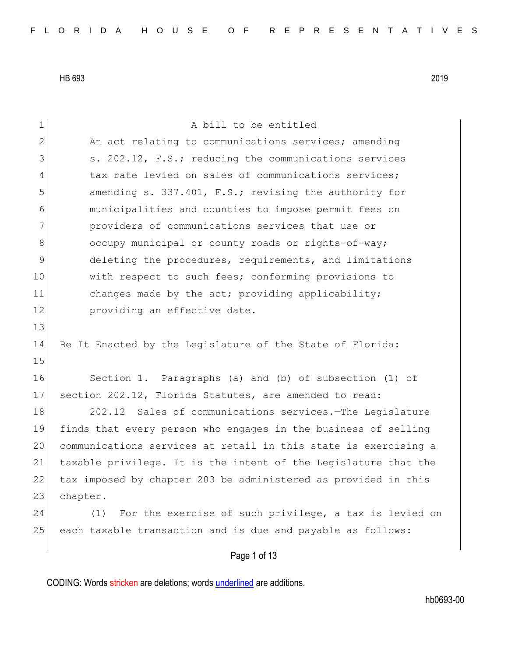| 1             | A bill to be entitled                                           |
|---------------|-----------------------------------------------------------------|
| $\mathbf{2}$  | An act relating to communications services; amending            |
| 3             | s. 202.12, F.S.; reducing the communications services           |
| 4             | tax rate levied on sales of communications services;            |
| 5             | amending s. 337.401, F.S.; revising the authority for           |
| 6             | municipalities and counties to impose permit fees on            |
| 7             | providers of communications services that use or                |
| 8             | occupy municipal or county roads or rights-of-way;              |
| $\mathcal{G}$ | deleting the procedures, requirements, and limitations          |
| 10            | with respect to such fees; conforming provisions to             |
| 11            | changes made by the act; providing applicability;               |
| 12            | providing an effective date.                                    |
| 13            |                                                                 |
| 14            | Be It Enacted by the Legislature of the State of Florida:       |
| 15            |                                                                 |
| 16            | Section 1. Paragraphs (a) and (b) of subsection (1) of          |
| 17            | section 202.12, Florida Statutes, are amended to read:          |
| 18            | Sales of communications services. The Legislature<br>202.12     |
| 19            | finds that every person who engages in the business of selling  |
| 20            | communications services at retail in this state is exercising a |
| 21            | taxable privilege. It is the intent of the Legislature that the |
| 22            | tax imposed by chapter 203 be administered as provided in this  |
| 23            | chapter.                                                        |
| 24            | For the exercise of such privilege, a tax is levied on<br>(1)   |
| 25            | each taxable transaction and is due and payable as follows:     |
|               | Page 1 of 13                                                    |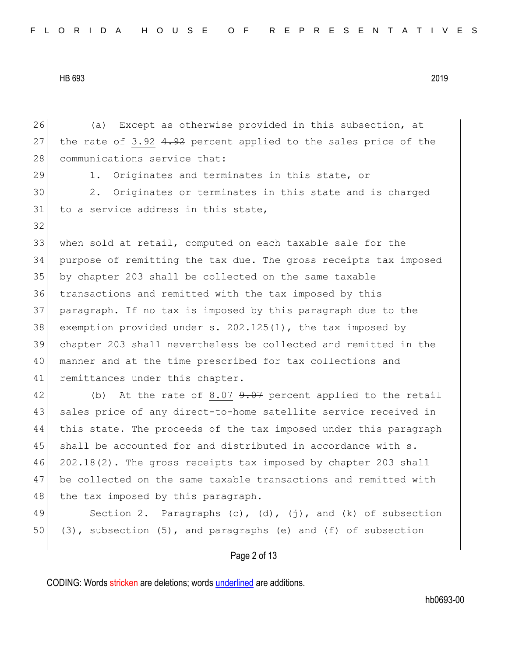Page 2 of 13 26 (a) Except as otherwise provided in this subsection, at 27 the rate of 3.92  $4.92$  percent applied to the sales price of the 28 communications service that: 29 1. Originates and terminates in this state, or 30 2. Originates or terminates in this state and is charged 31 to a service address in this state, 32 33 when sold at retail, computed on each taxable sale for the 34 purpose of remitting the tax due. The gross receipts tax imposed 35 by chapter 203 shall be collected on the same taxable 36 transactions and remitted with the tax imposed by this 37 paragraph. If no tax is imposed by this paragraph due to the 38 exemption provided under s. 202.125(1), the tax imposed by 39 chapter 203 shall nevertheless be collected and remitted in the 40 manner and at the time prescribed for tax collections and 41 remittances under this chapter. 42 (b) At the rate of 8.07 9.07 percent applied to the retail 43 sales price of any direct-to-home satellite service received in 44 this state. The proceeds of the tax imposed under this paragraph 45 shall be accounted for and distributed in accordance with s. 46 202.18(2). The gross receipts tax imposed by chapter 203 shall 47 be collected on the same taxable transactions and remitted with 48 the tax imposed by this paragraph. 49 Section 2. Paragraphs  $(c)$ ,  $(d)$ ,  $(j)$ , and  $(k)$  of subsection 50 (3), subsection  $(5)$ , and paragraphs (e) and (f) of subsection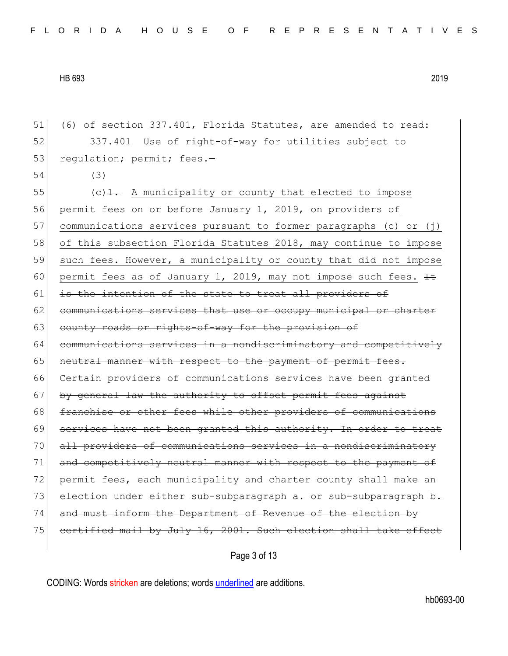51 (6) of section 337.401, Florida Statutes, are amended to read: 52 337.401 Use of right-of-way for utilities subject to 53 regulation; permit; fees.-54 (3) 55  $(c)$   $\frac{1}{1}$ . A municipality or county that elected to impose 56 permit fees on or before January 1, 2019, on providers of 57 communications services pursuant to former paragraphs (c) or (j) 58 of this subsection Florida Statutes 2018, may continue to impose 59 such fees. However, a municipality or county that did not impose 60 permit fees as of January 1, 2019, may not impose such fees.  $H$ 61 is the intention of the state to treat all providers of 62 communications services that use or occupy municipal or charter 63 county roads or rights-of-way for the provision of 64 communications services in a nondiscriminatory and competitively 65 neutral manner with respect to the payment of permit fees. 66 Certain providers of communications services have been granted 67 by general law the authority to offset permit fees against 68 franchise or other fees while other providers of communications 69 services have not been granted this authority. In order to treat 70 all providers of communications services in a nondiscriminatory 71 and competitively neutral manner with respect to the payment of 72 permit fees, each municipality and charter county shall make an 73 election under either sub-subparagraph a. or sub-subparagraph b. 74 and must inform the Department of Revenue of the election by 75 certified mail by July 16, 2001. Such election shall take effect

Page 3 of 13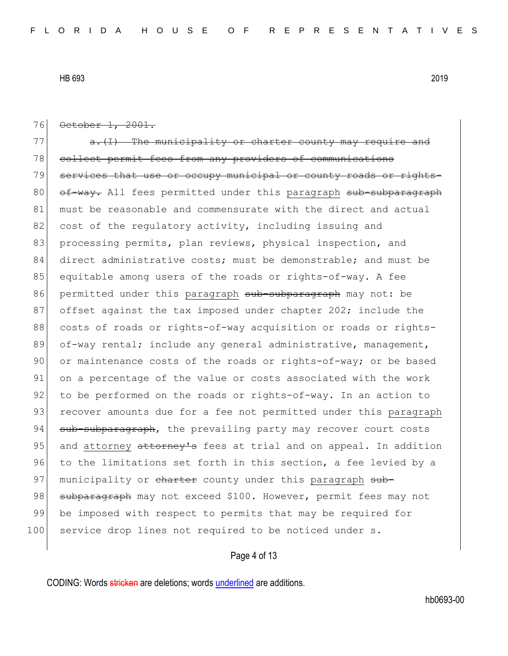76 October 1, 2001.  $77$  a.(I) The municipality or charter county may require 78 collect permit fees from any providers of communications 79 services that use or occupy municipal or county roads or rights-80 of-way. All fees permitted under this paragraph sub-subparagraph 81 must be reasonable and commensurate with the direct and actual 82 cost of the regulatory activity, including issuing and 83 processing permits, plan reviews, physical inspection, and 84 direct administrative costs; must be demonstrable; and must be 85 equitable among users of the roads or rights-of-way. A fee 86 permitted under this paragraph sub-subparagraph may not: be 87 offset against the tax imposed under chapter 202; include the 88 costs of roads or rights-of-way acquisition or roads or rights-89 of-way rental; include any general administrative, management, 90 or maintenance costs of the roads or rights-of-way; or be based 91 on a percentage of the value or costs associated with the work 92 to be performed on the roads or rights-of-way. In an action to 93 recover amounts due for a fee not permitted under this paragraph 94 sub-subparagraph, the prevailing party may recover court costs 95 and attorney attorney's fees at trial and on appeal. In addition 96 to the limitations set forth in this section, a fee levied by a 97 municipality or charter county under this paragraph sub-98 subparagraph may not exceed \$100. However, permit fees may not 99 be imposed with respect to permits that may be required for 100 service drop lines not required to be noticed under s.

## Page 4 of 13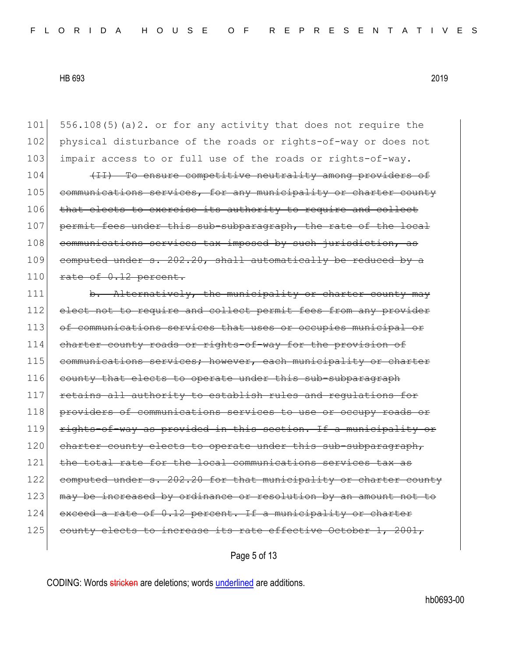101 556.108(5)(a)2. or for any activity that does not require the 102 physical disturbance of the roads or rights-of-way or does not 103 impair access to or full use of the roads or rights-of-way. 104 (II) To ensure competitive neutrality among providers of 105 communications services, for any municipality or charter county 106 that elects to exercise its authority to require and collect 107 permit fees under this sub-subparagraph, the rate of the local 108 communications services tax imposed by such jurisdiction, as 109 computed under  $s. 202.20$ , shall automatically be reduced by a  $110$  rate of  $0.12$  percent. 111 b. Alternatively, the municipality or charter county may 112 elect not to require and collect permit fees from any provider 113 of communications services that uses or occupies municipal or 114 charter county roads or rights-of-way for the provision of 115 communications services; however, each municipality or charter 116 county that elects to operate under this sub-subparagraph 117 retains all authority to establish rules and regulations for 118 providers of communications services to use or occupy roads or 119 rights-of-way as provided in this section. If a municipality or 120 charter county elects to operate under this sub-subparagraph, 121 the total rate for the local communications services tax as 122 computed under s. 202.20 for that municipality or charter county 123 may be increased by ordinance or resolution by an amount not to 124 exceed a rate of 0.12 percent. If a municipality or charter 125 county elects to increase its rate effective October 1, 2001,

Page 5 of 13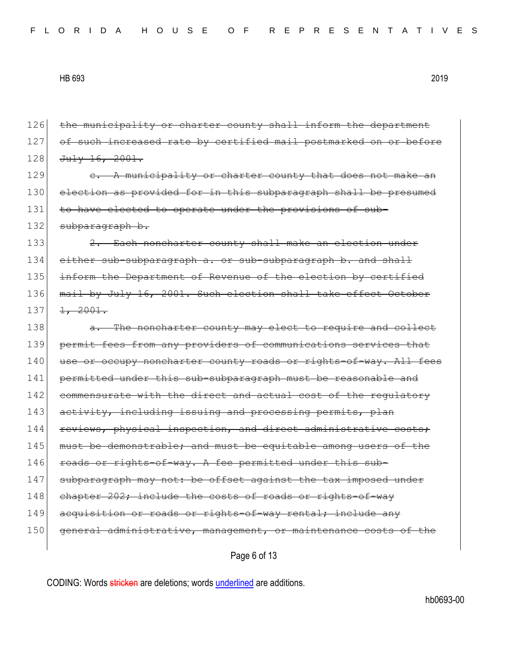126 the municipality or charter county shall inform the department 127 of such increased rate by certified mail postmarked on or before  $128$  July 16, 2001.  $129$  e. A municipality or charter county that does not make 130 election as provided for in this subparagraph shall be presumed 131 to have elected to operate under the provisions of sub-132 subparagraph b. 133 2. Each noncharter county shall make an election under 134 either sub-subparagraph a. or sub-subparagraph b. and shall 135 inform the Department of Revenue of the election by certified 136 mail by July 16, 2001. Such election shall take effect October  $137$   $1, 2001$ . 138 a. The noncharter county may elect to require and collect 139 permit fees from any providers of communications services that 140 use or occupy noncharter county roads or rights-of-way. All fees 141 permitted under this sub-subparagraph must be reasonable and 142 commensurate with the direct and actual cost of the regulatory 143 activity, including issuing and processing permits, plan 144 reviews, physical inspection, and direct administrative costs; 145 must be demonstrable; and must be equitable among users of the 146 roads or rights-of-way. A fee permitted under this sub-147 subparagraph may not: be offset against the tax imposed under 148 chapter 202; include the costs of roads or rights-of-way 149 acquisition or roads or rights-of-way rental; include any 150 general administrative, management, or maintenance costs of the

Page 6 of 13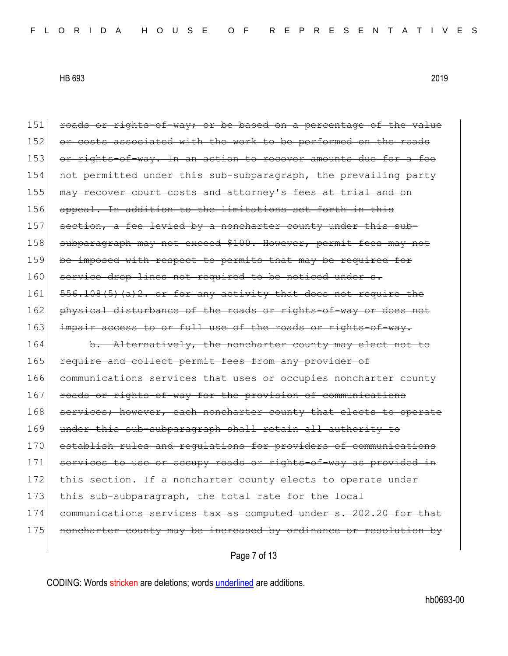151 roads or rights-of-way; or be based on a percentage of the value 152 or costs associated with the work to be performed on the roads 153 or rights-of-way. In an action to recover amounts due for a fee 154 not permitted under this sub-subparagraph, the prevailing party 155 may recover court costs and attorney's fees at trial and on 156 appeal. In addition to the limitations set forth in this 157 section, a fee levied by a noncharter county under this sub-158 subparagraph may not exceed \$100. However, permit fees may not 159 be imposed with respect to permits that may be required for 160 service drop lines not required to be noticed under s. 161  $556.108(5)$  (a) 2. or for any activity that does not require the 162 physical disturbance of the roads or rights-of-way or does not 163 impair access to or full use of the roads or rights-of-way. 164 b. Alternatively, the noncharter county may elect not to 165 require and collect permit fees from any provider of 166 communications services that uses or occupies noncharter county 167 roads or rights-of-way for the provision of communications 168 services; however, each noncharter county that elects to operate 169 under this sub-subparagraph shall retain all authority to 170 establish rules and requlations for providers of communications 171 services to use or occupy roads or rights-of-way as provided in 172 this section. If a noncharter county elects to operate under 173 this sub-subparagraph, the total rate for the local 174 communications services tax as computed under s. 202.20 for that 175 | noncharter county may be increased by ordinance or resolution by

Page 7 of 13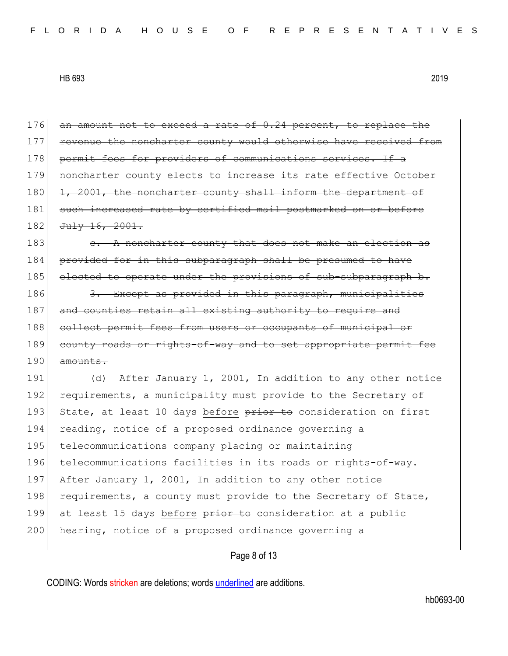| 176 | an amount not to exceed a rate of 0.24 percent, to replace the   |
|-----|------------------------------------------------------------------|
| 177 | revenue the noncharter county would otherwise have received from |
| 178 | permit fees for providers of communications services. If a       |
| 179 | noncharter county elects to increase its rate effective October  |
| 180 | 1, 2001, the noncharter county shall inform the department of    |
| 181 | such increased rate by certified mail postmarked on or before    |
| 182 | Ju1y 16, 2001.                                                   |
| 183 | e. A noncharter county that does not make an election as         |
| 184 | provided for in this subparagraph shall be presumed to have      |
| 185 | elected to operate under the provisions of sub-subparagraph b.   |
| 186 | 3. Except as provided in this paragraph, municipalities          |
| 187 | and counties retain all existing authority to require and        |
| 188 | collect permit fees from users or occupants of municipal or      |
| 189 | county roads or rights-of-way and to set appropriate permit fee  |
| 190 | amounts.                                                         |
| 191 | After January 1, 2001, In addition to any other notice<br>(d)    |
| 192 | requirements, a municipality must provide to the Secretary of    |
| 193 | State, at least 10 days before prior to consideration on first   |
| 194 | reading, notice of a proposed ordinance governing a              |
| 195 | telecommunications company placing or maintaining                |
| 196 | telecommunications facilities in its roads or rights-of-way.     |
| 197 | After January 1, 2001, In addition to any other notice           |
| 198 | requirements, a county must provide to the Secretary of State,   |
| 199 | at least 15 days before prior to consideration at a public       |
| 200 | hearing, notice of a proposed ordinance governing a              |
|     | Page 8 of 13                                                     |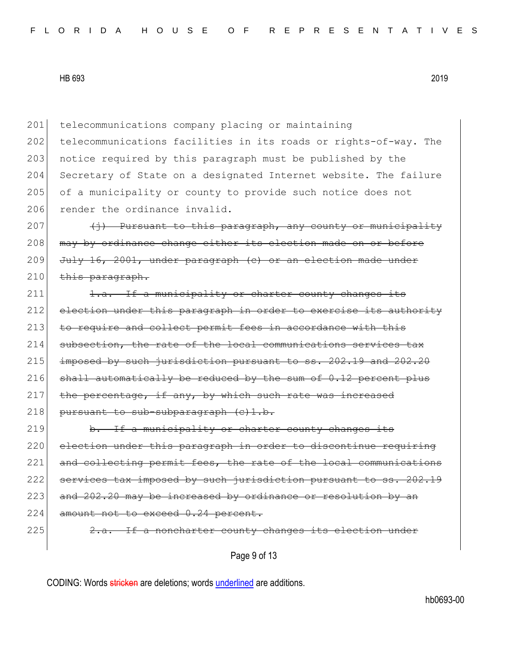201 telecommunications company placing or maintaining 202 telecommunications facilities in its roads or rights-of-way. The 203 notice required by this paragraph must be published by the 204 Secretary of State on a designated Internet website. The failure 205 of a municipality or county to provide such notice does not 206 render the ordinance invalid.

207  $\leftarrow$   $\leftarrow$  Pursuant to this paragraph, any county or municipality 208 | may by ordinance change either its election made on or before 209 July 16, 2001, under paragraph (c) or an election made under  $210$  this paragraph.

211 1.a. If a municipality or charter county changes its 212 election under this paragraph in order to exercise its authority 213 to require and collect permit fees in accordance with this 214 subsection, the rate of the local communications services tax  $215$  imposed by such jurisdiction pursuant to ss.  $202.19$  and  $202.20$  $216$  shall automatically be reduced by the sum of 0.12 percent plus  $217$  the percentage, if any, by which such rate was increased  $218$  pursuant to sub-subparagraph  $(e)1.b.$ 

219 b. If a municipality or charter county changes its 220 election under this paragraph in order to discontinue requiring 221 and collecting permit fees, the rate of the local communications 222 services tax imposed by such jurisdiction pursuant to ss. 202.19  $223$  and  $202.20$  may be increased by ordinance or resolution by an 224 amount not to exceed 0.24 percent. 225 2.a. If a noncharter county changes its election under

Page 9 of 13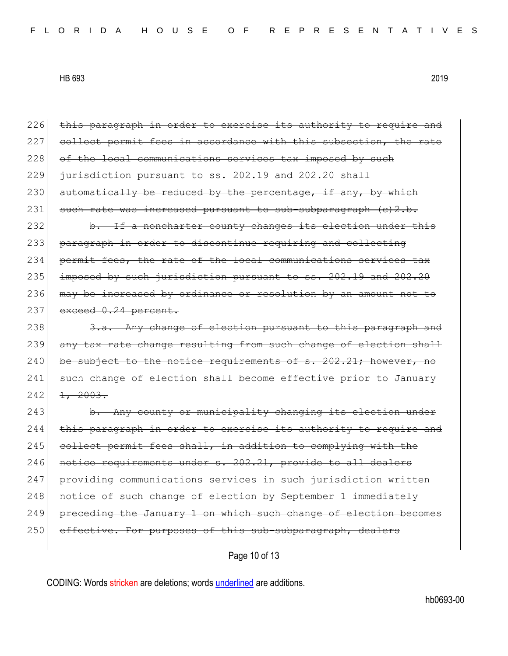Page 10 of 13 226 this paragraph in order to exercise its authority to require and 227 collect permit fees in accordance with this subsection, the rate 228 of the local communications services tax imposed by such  $229$  jurisdiction pursuant to ss.  $202.19$  and  $202.20$  shall  $230$  automatically be reduced by the percentage, if any, by which 231 such rate was increased pursuant to sub-subparagraph (c)2.b. 232 b. If a noncharter county changes its election under this 233 paragraph in order to discontinue requiring and collecting 234 permit fees, the rate of the local communications services tax  $235$  imposed by such jurisdiction pursuant to ss.  $202.19$  and  $202.20$ 236 may be increased by ordinance or resolution by an amount not to 237 exceed 0.24 percent. 238  $\overline{3.a.}$  Any change of election pursuant to this paragraph and 239 any tax rate change resulting from such change of election shall 240 be subject to the notice requirements of  $s. 202.21$ ; however, no 241 such change of election shall become effective prior to January  $242$   $1, 2003.$ 243 b. Any county or municipality changing its election under 244 this paragraph in order to exercise its authority to require and 245 collect permit fees shall, in addition to complying with the 246 notice requirements under s. 202.21, provide to all dealers 247 providing communications services in such jurisdiction written 248 notice of such change of election by September 1 immediately 249 preceding the January 1 on which such change of election becomes 250 effective. For purposes of this sub-subparagraph, dealers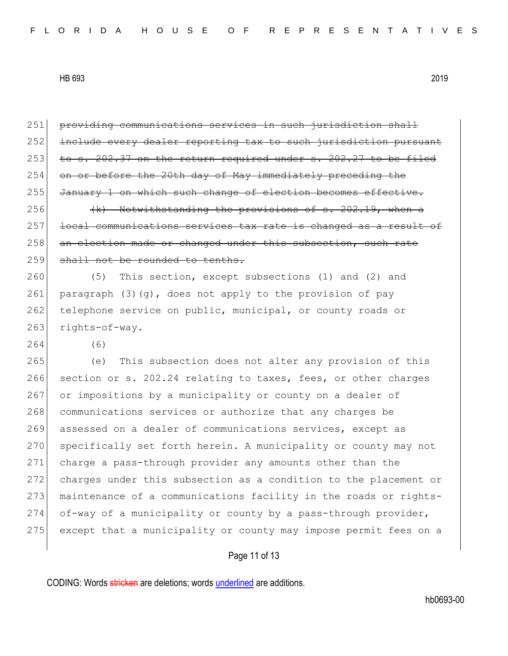| 251 | providing communications services in such jurisdiction shall     |
|-----|------------------------------------------------------------------|
| 252 | include every dealer reporting tax to such jurisdiction pursuant |
| 253 | to s. 202.37 on the return required under s. 202.27 to be filed  |
| 254 | on or before the 20th day of May immediately preceding the       |
| 255 | January 1 on which such change of election becomes effective.    |
| 256 | (k) Notwithstanding the provisions of s. 202.19, when a          |
| 257 | local communications services tax rate is changed as a result of |
| 258 | an election made or changed under this subsection, such rate     |
| 259 | shall not be rounded to tenths.                                  |
| 260 | This section, except subsections (1) and (2) and<br>(5)          |
| 261 | paragraph (3) (g), does not apply to the provision of pay        |
| 262 | telephone service on public, municipal, or county roads or       |
| 263 | rights-of-way.                                                   |
| 264 | (6)                                                              |
| 265 | This subsection does not alter any provision of this<br>(e)      |
| 266 | section or s. 202.24 relating to taxes, fees, or other charges   |
| 267 | or impositions by a municipality or county on a dealer of        |
| 268 | communications services or authorize that any charges be         |
| 269 | assessed on a dealer of communications services, except as       |
| 270 | specifically set forth herein. A municipality or county may not  |
| 271 | charge a pass-through provider any amounts other than the        |
| 272 | charges under this subsection as a condition to the placement or |
| 273 | maintenance of a communications facility in the roads or rights- |
| 274 | of-way of a municipality or county by a pass-through provider,   |
| 275 | except that a municipality or county may impose permit fees on a |
|     |                                                                  |

## Page 11 of 13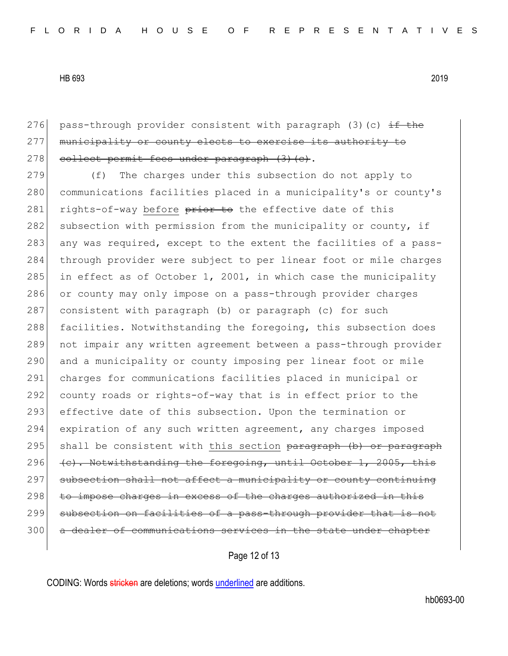276 pass-through provider consistent with paragraph (3)(c)  $\pm$  the 277 | municipality or county elects to exercise its authority to 278 collect permit fees under paragraph (3)(c).

279 (f) The charges under this subsection do not apply to 280 communications facilities placed in a municipality's or county's 281 rights-of-way before prior to the effective date of this 282 subsection with permission from the municipality or county, if 283 any was required, except to the extent the facilities of a pass-284 through provider were subject to per linear foot or mile charges 285 in effect as of October 1, 2001, in which case the municipality 286 or county may only impose on a pass-through provider charges 287 consistent with paragraph (b) or paragraph (c) for such 288 facilities. Notwithstanding the foregoing, this subsection does 289 not impair any written agreement between a pass-through provider 290 and a municipality or county imposing per linear foot or mile 291 charges for communications facilities placed in municipal or 292 county roads or rights-of-way that is in effect prior to the 293 effective date of this subsection. Upon the termination or 294 expiration of any such written agreement, any charges imposed 295 shall be consistent with this section paragraph (b) or paragraph 296  $\left\{\n\begin{array}{ccc}\n\text{c}\n\end{array}\n\right\}$ . Notwithstanding the foregoing, until October 1, 2005, this 297 subsection shall not affect a municipality or county continuing  $298$  to impose charges in excess of the charges authorized in this 299 subsection on facilities of a pass-through provider that is not 300 a dealer of communications services in the state under chapter

Page 12 of 13